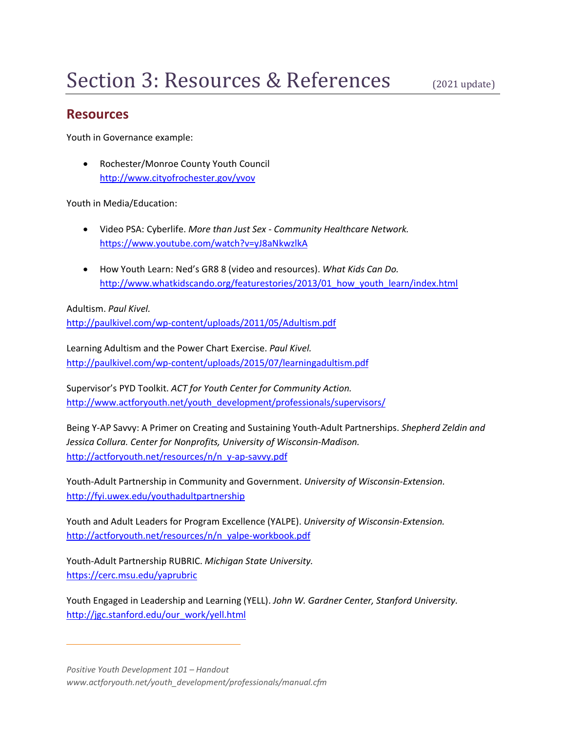## **Resources**

Youth in Governance example:

• Rochester/Monroe County Youth Council <http://www.cityofrochester.gov/yvov>

Youth in Media/Education:

- Video PSA: Cyberlife. *More than Just Sex - Community Healthcare Network.* <https://www.youtube.com/watch?v=yJ8aNkwzlkA>
- How Youth Learn: Ned's GR8 8 (video and resources). *What Kids Can Do.* [http://www.whatkidscando.org/featurestories/2013/01\\_how\\_youth\\_learn/index.html](http://www.whatkidscando.org/featurestories/2013/01_how_youth_learn/index.html)

Adultism. *Paul Kivel.*

<http://paulkivel.com/wp-content/uploads/2011/05/Adultism.pdf>

Learning Adultism and the Power Chart Exercise. *Paul Kivel.* <http://paulkivel.com/wp-content/uploads/2015/07/learningadultism.pdf>

Supervisor's PYD Toolkit. *ACT for Youth Center for Community Action.* [http://www.actforyouth.net/youth\\_development/professionals/supervisors/](http://www.actforyouth.net/youth_development/professionals/supervisors/)

Being Y-AP Savvy: A Primer on Creating and Sustaining Youth-Adult Partnerships. *Shepherd Zeldin and Jessica Collura. Center for Nonprofits, University of Wisconsin-Madison.* [http://actforyouth.net/resources/n/n\\_y-ap-savvy.pdf](http://actforyouth.net/resources/n/n_y-ap-savvy.pdf)

Youth-Adult Partnership in Community and Government. *University of Wisconsin-Extension.* <http://fyi.uwex.edu/youthadultpartnership>

Youth and Adult Leaders for Program Excellence (YALPE). *University of Wisconsin-Extension.* [http://actforyouth.net/resources/n/n\\_yalpe-workbook.pdf](http://actforyouth.net/resources/n/n_yalpe-workbook.pdf)

Youth-Adult Partnership RUBRIC. *Michigan State University.* <https://cerc.msu.edu/yaprubric>

Youth Engaged in Leadership and Learning (YELL). *John W. Gardner Center, Stanford University.* [http://jgc.stanford.edu/our\\_work/yell.html](http://jgc.stanford.edu/our_work/yell.html)

*Positive Youth Development 101 – Handout www.actforyouth.net/youth\_development/professionals/manual.cfm*